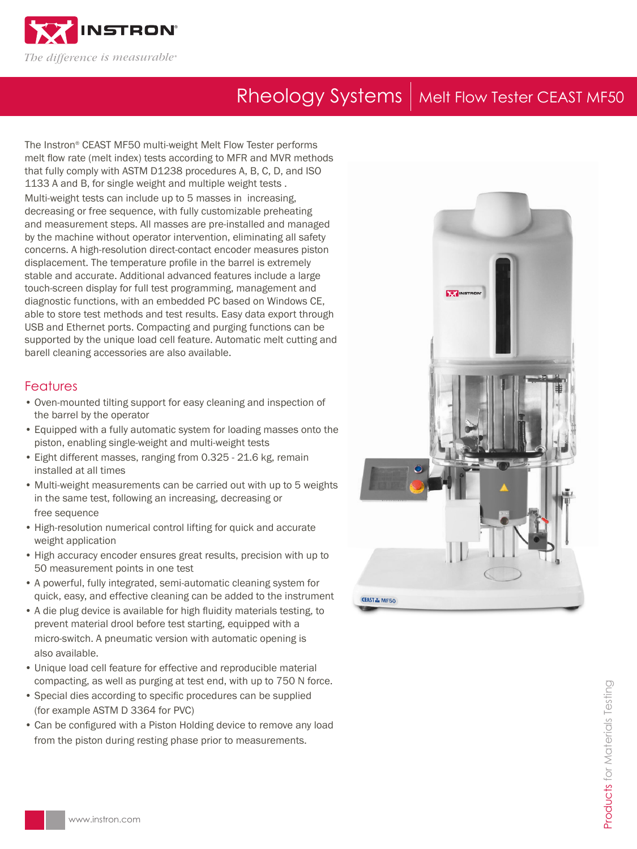

# Rheology Systems | Melt Flow Tester CEAST MF50

The Instron® CEAST MF50 multi-weight Melt Flow Tester performs melt flow rate (melt index) tests according to MFR and MVR methods that fully comply with ASTM D1238 procedures A, B, C, D, and ISO 1133 A and B, for single weight and multiple weight tests . Multi-weight tests can include up to 5 masses in increasing, decreasing or free sequence, with fully customizable preheating and measurement steps. All masses are pre-installed and managed by the machine without operator intervention, eliminating all safety concerns. A high-resolution direct-contact encoder measures piston displacement. The temperature profile in the barrel is extremely stable and accurate. Additional advanced features include a large touch-screen display for full test programming, management and diagnostic functions, with an embedded PC based on Windows CE, able to store test methods and test results. Easy data export through USB and Ethernet ports. Compacting and purging functions can be supported by the unique load cell feature. Automatic melt cutting and barell cleaning accessories are also available.

## **Features**

- Oven-mounted tilting support for easy cleaning and inspection of the barrel by the operator
- Equipped with a fully automatic system for loading masses onto the piston, enabling single-weight and multi-weight tests
- Eight different masses, ranging from 0.325 21.6 kg, remain installed at all times
- Multi-weight measurements can be carried out with up to 5 weights in the same test, following an increasing, decreasing or free sequence
- High-resolution numerical control lifting for quick and accurate weight application
- High accuracy encoder ensures great results, precision with up to 50 measurement points in one test
- A powerful, fully integrated, semi-automatic cleaning system for quick, easy, and effective cleaning can be added to the instrument
- A die plug device is available for high fluidity materials testing, to prevent material drool before test starting, equipped with a micro-switch. A pneumatic version with automatic opening is also available.
- Unique load cell feature for effective and reproducible material compacting, as well as purging at test end, with up to 750 N force.
- Special dies according to specific procedures can be supplied (for example ASTM D 3364 for PVC)
- Can be configured with a Piston Holding device to remove any load from the piston during resting phase prior to measurements.